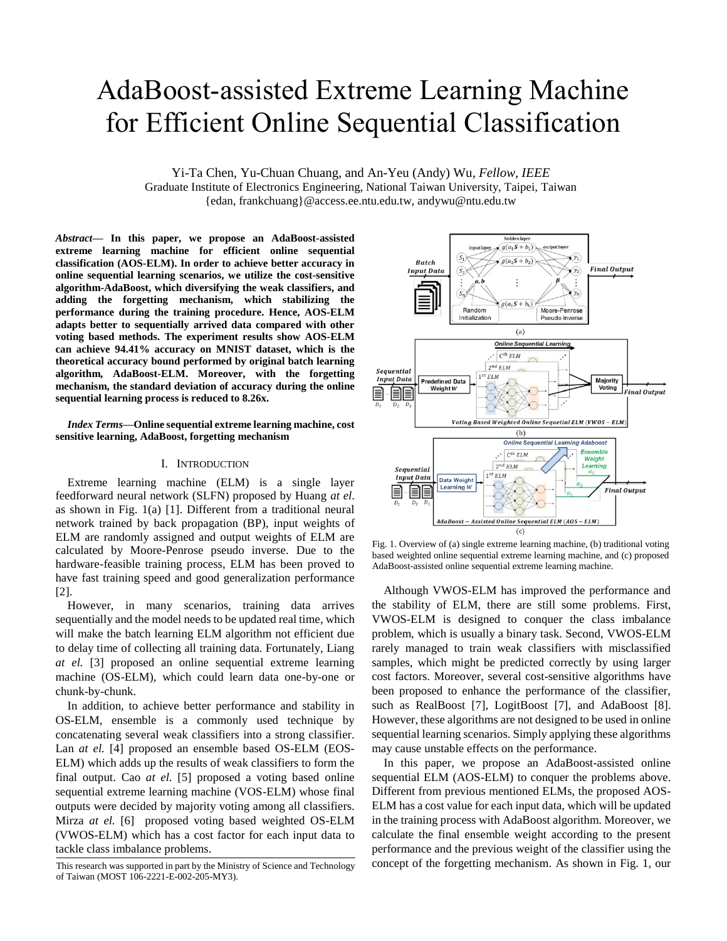# AdaBoost-assisted Extreme Learning Machine for Efficient Online Sequential Classification

Yi-Ta Chen, Yu-Chuan Chuang, and An-Yeu (Andy) Wu, *Fellow, IEEE*

Graduate Institute of Electronics Engineering, National Taiwan University, Taipei, Taiwan {edan, frankchuang}@access.ee.ntu.edu.tw, andywu@ntu.edu.tw

*Abstract***— In this paper, we propose an AdaBoost-assisted extreme learning machine for efficient online sequential classification (AOS-ELM). In order to achieve better accuracy in online sequential learning scenarios, we utilize the cost-sensitive algorithm-AdaBoost, which diversifying the weak classifiers, and adding the forgetting mechanism, which stabilizing the performance during the training procedure. Hence, AOS-ELM adapts better to sequentially arrived data compared with other voting based methods. The experiment results show AOS-ELM can achieve 94.41% accuracy on MNIST dataset, which is the theoretical accuracy bound performed by original batch learning algorithm, AdaBoost-ELM. Moreover, with the forgetting mechanism, the standard deviation of accuracy during the online sequential learning process is reduced to 8.26x.**

*Index Terms***—Online sequential extreme learning machine, cost sensitive learning, AdaBoost, forgetting mechanism**

# I. INTRODUCTION

Extreme learning machine (ELM) is a single layer feedforward neural network (SLFN) proposed by Huang *at el*. as shown in Fig. 1(a) [1]. Different from a traditional neural network trained by back propagation (BP), input weights of ELM are randomly assigned and output weights of ELM are calculated by Moore-Penrose pseudo inverse. Due to the hardware-feasible training process, ELM has been proved to have fast training speed and good generalization performance [2].

However, in many scenarios, training data arrives sequentially and the model needs to be updated real time, which will make the batch learning ELM algorithm not efficient due to delay time of collecting all training data. Fortunately, Liang *at el.* [3] proposed an online sequential extreme learning machine (OS-ELM), which could learn data one-by-one or chunk-by-chunk.

In addition, to achieve better performance and stability in OS-ELM, ensemble is a commonly used technique by concatenating several weak classifiers into a strong classifier. Lan *at el.* [4] proposed an ensemble based OS-ELM (EOS-ELM) which adds up the results of weak classifiers to form the final output. Cao *at el.* [5] proposed a voting based online sequential extreme learning machine (VOS-ELM) whose final outputs were decided by majority voting among all classifiers. Mirza *at el.* [6] proposed voting based weighted OS-ELM (VWOS-ELM) which has a cost factor for each input data to tackle class imbalance problems.



Fig. 1. Overview of (a) single extreme learning machine, (b) traditional voting based weighted online sequential extreme learning machine, and (c) proposed AdaBoost-assisted online sequential extreme learning machine.

Although VWOS-ELM has improved the performance and the stability of ELM, there are still some problems. First, VWOS-ELM is designed to conquer the class imbalance problem, which is usually a binary task. Second, VWOS-ELM rarely managed to train weak classifiers with misclassified samples, which might be predicted correctly by using larger cost factors. Moreover, several cost-sensitive algorithms have been proposed to enhance the performance of the classifier, such as RealBoost [7], LogitBoost [7], and AdaBoost [8]. However, these algorithms are not designed to be used in online sequential learning scenarios. Simply applying these algorithms may cause unstable effects on the performance.

In this paper, we propose an AdaBoost-assisted online sequential ELM (AOS-ELM) to conquer the problems above. Different from previous mentioned ELMs, the proposed AOS-ELM has a cost value for each input data, which will be updated in the training process with AdaBoost algorithm. Moreover, we calculate the final ensemble weight according to the present performance and the previous weight of the classifier using the concept of the forgetting mechanism. As shown in Fig. 1, our

This research was supported in part by the Ministry of Science and Technology of Taiwan (MOST 106-2221-E-002-205-MY3).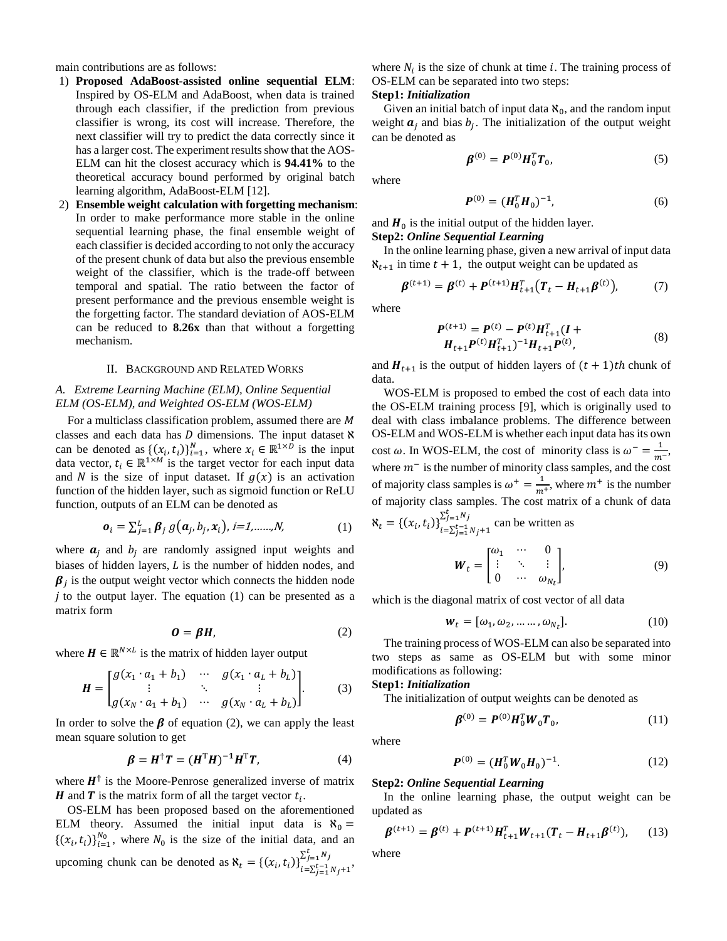main contributions are as follows:

- 1) **Proposed AdaBoost-assisted online sequential ELM**: Inspired by OS-ELM and AdaBoost, when data is trained through each classifier, if the prediction from previous classifier is wrong, its cost will increase. Therefore, the next classifier will try to predict the data correctly since it has a larger cost. The experiment results show that the AOS-ELM can hit the closest accuracy which is **94.41%** to the theoretical accuracy bound performed by original batch learning algorithm, AdaBoost-ELM [12].
- 2) **Ensemble weight calculation with forgetting mechanism**: In order to make performance more stable in the online sequential learning phase, the final ensemble weight of each classifier is decided according to not only the accuracy of the present chunk of data but also the previous ensemble weight of the classifier, which is the trade-off between temporal and spatial. The ratio between the factor of present performance and the previous ensemble weight is the forgetting factor. The standard deviation of AOS-ELM can be reduced to **8.26x** than that without a forgetting mechanism.

#### II. BACKGROUND AND RELATED WORKS

# *A. Extreme Learning Machine (ELM), Online Sequential ELM (OS-ELM), and Weighted OS-ELM (WOS-ELM)*

For a multiclass classification problem, assumed there are M classes and each data has  $D$  dimensions. The input dataset  $\aleph$ can be denoted as  $\{(x_i, t_i)\}_{i=1}^N$ , where  $x_i \in \mathbb{R}^{1 \times D}$  is the input data vector,  $t_i \in \mathbb{R}^{1 \times M}$  is the target vector for each input data and N is the size of input dataset. If  $g(x)$  is an activation function of the hidden layer, such as sigmoid function or ReLU function, outputs of an ELM can be denoted as

$$
\boldsymbol{o}_i = \sum_{j=1}^L \boldsymbol{\beta}_j g(\boldsymbol{a}_j, b_j, \boldsymbol{x}_i), \quad i = 1, \dots, N,\tag{1}
$$

where  $a_i$  and  $b_i$  are randomly assigned input weights and biases of hidden layers,  $L$  is the number of hidden nodes, and  $\beta_j$  is the output weight vector which connects the hidden node  $i$  to the output layer. The equation (1) can be presented as a matrix form

$$
O = \beta H, \tag{2}
$$

where  $H \in \mathbb{R}^{N \times L}$  is the matrix of hidden layer output

$$
\mathbf{H} = \begin{bmatrix} g(x_1 \cdot a_1 + b_1) & \cdots & g(x_1 \cdot a_L + b_L) \\ \vdots & \ddots & \vdots \\ g(x_N \cdot a_1 + b_1) & \cdots & g(x_N \cdot a_L + b_L) \end{bmatrix} . \tag{3}
$$

In order to solve the  $\beta$  of equation (2), we can apply the least mean square solution to get

$$
\beta = H^{\dagger}T = (H^{\mathrm{T}}H)^{-1}H^{\mathrm{T}}T, \tag{4}
$$

where  $H^{\dagger}$  is the Moore-Penrose generalized inverse of matrix **H** and **T** is the matrix form of all the target vector  $t_i$ .

OS-ELM has been proposed based on the aforementioned ELM theory. Assumed the initial input data is  $\aleph_0 =$  $\{(x_i, t_i)\}_{i=1}^{N_0}$ , where  $N_0$  is the size of the initial data, and an upcoming chunk can be denoted as  $\aleph_t = \{(x_i, t_i)\}_{i=\sum_{j=1}^{t-1} N_j + 1}^{2j = 1 \cdot r}$  $\sum_{j=1}^{t} N_j$ <br>;  $\nabla^{t-1}$  ; ; ; ; ;

where  $N_i$  is the size of chunk at time *i*. The training process of OS-ELM can be separated into two steps:

#### **Step1:** *Initialization*

Given an initial batch of input data  $\aleph_0$ , and the random input weight  $a_j$  and bias  $b_j$ . The initialization of the output weight can be denoted as

$$
\pmb{\beta}^{(0)} = \pmb{P}^{(0)} \pmb{H}_0^T \pmb{T}_0,\tag{5}
$$

where

$$
\boldsymbol{P}^{(0)} = (\boldsymbol{H}_0^T \boldsymbol{H}_0)^{-1},\tag{6}
$$

and  $H_0$  is the initial output of the hidden layer. **Step2:** *Online Sequential Learning*

In the online learning phase, given a new arrival of input data  $\aleph_{t+1}$  in time  $t + 1$ , the output weight can be updated as

$$
\beta^{(t+1)} = \beta^{(t)} + P^{(t+1)}H_{t+1}^T (T_t - H_{t+1}\beta^{(t)}), \tag{7}
$$

where

$$
P^{(t+1)} = P^{(t)} - P^{(t)}H_{t+1}^{T}(I + H_{t+1}P^{(t)}H_{t+1}^{T})^{-1}H_{t+1}P^{(t)},
$$
\n(8)

and  $H_{t+1}$  is the output of hidden layers of  $(t + 1)$ th chunk of data.

WOS-ELM is proposed to embed the cost of each data into the OS-ELM training process [9], which is originally used to deal with class imbalance problems. The difference between OS-ELM and WOS-ELM is whether each input data has its own cost  $\omega$ . In WOS-ELM, the cost of minority class is  $\omega^- = \frac{1}{\omega}$  $\frac{1}{m^{-}}$ , where  $m^-$  is the number of minority class samples, and the cost of majority class samples is  $\omega^+ = \frac{1}{m}$  $\frac{1}{m^+}$ , where  $m^+$  is the number of majority class samples. The cost matrix of a chunk of data  $\aleph_t = \left\{ (x_i, t_i) \right\}_{i=\sum_{j=1}^{t-1} N_j + 1}^{2j=1}$  $\sum_{j=1}^{t} N_j$  can be written as

$$
\boldsymbol{W}_t = \begin{bmatrix} \omega_1 & \cdots & 0 \\ \vdots & \ddots & \vdots \\ 0 & \cdots & \omega_{N_t} \end{bmatrix}, \tag{9}
$$

which is the diagonal matrix of cost vector of all data

$$
\mathbf{w}_t = [\omega_1, \omega_2, \dots \dots, \omega_{N_t}]. \tag{10}
$$

The training process of WOS-ELM can also be separated into two steps as same as OS-ELM but with some minor modifications as following:

# **Step1:** *Initialization*

The initialization of output weights can be denoted as

$$
\boldsymbol{\beta}^{(0)} = \boldsymbol{P}^{(0)} \boldsymbol{H}_0^T \boldsymbol{W}_0 \boldsymbol{T}_0, \tag{11}
$$

where

$$
\boldsymbol{P}^{(0)} = (\boldsymbol{H}_0^T \boldsymbol{W}_0 \boldsymbol{H}_0)^{-1}.
$$
 (12)

**Step2:** *Online Sequential Learning*

In the online learning phase, the output weight can be updated as

$$
\boldsymbol{\beta}^{(t+1)} = \boldsymbol{\beta}^{(t)} + \boldsymbol{P}^{(t+1)} \boldsymbol{H}_{t+1}^T \boldsymbol{W}_{t+1} (\boldsymbol{T}_t - \boldsymbol{H}_{t+1} \boldsymbol{\beta}^{(t)}), \qquad (13)
$$

where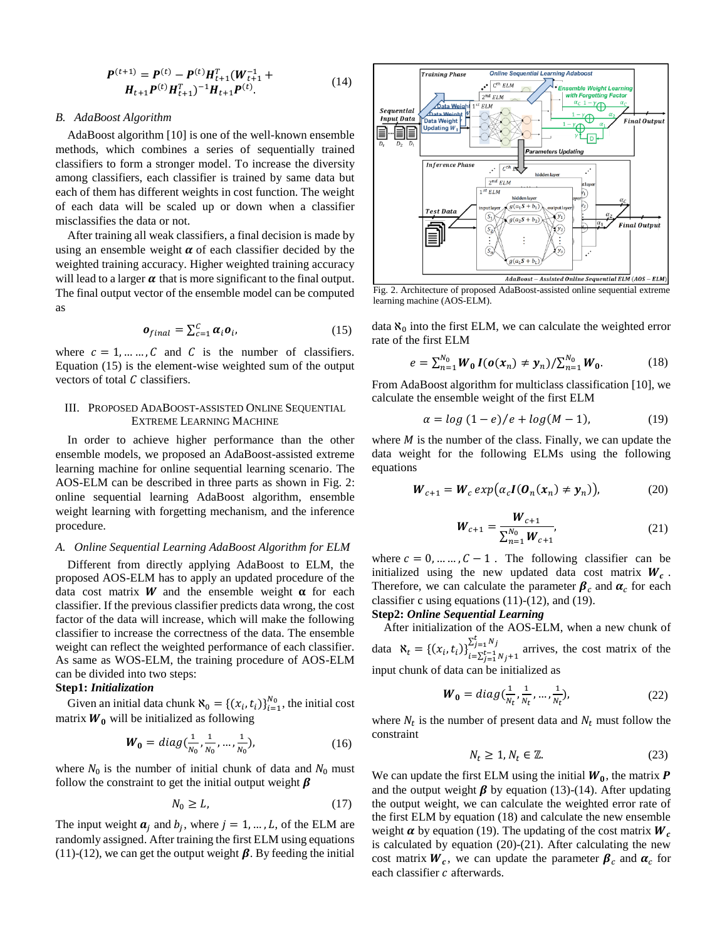$$
\mathbf{P}^{(t+1)} = \mathbf{P}^{(t)} - \mathbf{P}^{(t)} \mathbf{H}_{t+1}^T (\mathbf{W}_{t+1}^{-1} + \mathbf{H}_{t+1} \mathbf{P}^{(t)} \mathbf{H}_{t+1}^T)^{-1} \mathbf{H}_{t+1} \mathbf{P}^{(t)}.
$$
 (14)

## *B. AdaBoost Algorithm*

AdaBoost algorithm [10] is one of the well-known ensemble methods, which combines a series of sequentially trained classifiers to form a stronger model. To increase the diversity among classifiers, each classifier is trained by same data but each of them has different weights in cost function. The weight of each data will be scaled up or down when a classifier misclassifies the data or not.

After training all weak classifiers, a final decision is made by using an ensemble weight  $\alpha$  of each classifier decided by the weighted training accuracy. Higher weighted training accuracy will lead to a larger  $\alpha$  that is more significant to the final output. The final output vector of the ensemble model can be computed as

$$
\boldsymbol{o}_{final} = \sum_{c=1}^{C} \boldsymbol{\alpha}_i \boldsymbol{o}_i, \qquad (15)
$$

where  $c = 1, ..., C$  and C is the number of classifiers. Equation (15) is the element-wise weighted sum of the output vectors of total  $C$  classifiers.

# III. PROPOSED ADABOOST-ASSISTED ONLINE SEQUENTIAL EXTREME LEARNING MACHINE

In order to achieve higher performance than the other ensemble models, we proposed an AdaBoost-assisted extreme learning machine for online sequential learning scenario. The AOS-ELM can be described in three parts as shown in Fig. 2: online sequential learning AdaBoost algorithm, ensemble weight learning with forgetting mechanism, and the inference procedure.

## *A. Online Sequential Learning AdaBoost Algorithm for ELM*

Different from directly applying AdaBoost to ELM, the proposed AOS-ELM has to apply an updated procedure of the data cost matrix  $W$  and the ensemble weight  $\alpha$  for each classifier. If the previous classifier predicts data wrong, the cost factor of the data will increase, which will make the following classifier to increase the correctness of the data. The ensemble weight can reflect the weighted performance of each classifier. As same as WOS-ELM, the training procedure of AOS-ELM can be divided into two steps:

# **Step1:** *Initialization*

Given an initial data chunk  $\aleph_0 = \left\{ (x_i, t_i) \right\}_{i=1}^{N_0}$ , the initial cost matrix  $W_0$  will be initialized as following

$$
W_0 = diag(\frac{1}{N_0}, \frac{1}{N_0}, \dots, \frac{1}{N_0}),
$$
 (16)

where  $N_0$  is the number of initial chunk of data and  $N_0$  must follow the constraint to get the initial output weight  $\beta$ 

$$
N_0 \ge L,\tag{17}
$$

The input weight  $a_j$  and  $b_j$ , where  $j = 1, ..., L$ , of the ELM are randomly assigned. After training the first ELM using equations (11)-(12), we can get the output weight  $\beta$ . By feeding the initial



Fig. 2. Architecture of proposed AdaBoost-assisted online sequential extreme learning machine (AOS-ELM).

data  $\aleph_0$  into the first ELM, we can calculate the weighted error rate of the first ELM

$$
e = \sum_{n=1}^{N_0} W_0 I(o(x_n) \neq y_n) / \sum_{n=1}^{N_0} W_0.
$$
 (18)

From AdaBoost algorithm for multiclass classification [10], we calculate the ensemble weight of the first ELM

$$
\alpha = \log(1 - e)/e + \log(M - 1),\tag{19}
$$

where  $M$  is the number of the class. Finally, we can update the data weight for the following ELMs using the following equations

$$
\boldsymbol{W}_{c+1} = \boldsymbol{W}_c \exp(\alpha_c \boldsymbol{I}(\boldsymbol{0}_n(\boldsymbol{x}_n) \neq \boldsymbol{y}_n)), \tag{20}
$$

$$
W_{c+1} = \frac{W_{c+1}}{\sum_{n=1}^{N_0} W_{c+1}},
$$
\n(21)

where  $c = 0, ..., C - 1$ . The following classifier can be initialized using the new updated data cost matrix  $W_c$ . Therefore, we can calculate the parameter  $\beta_c$  and  $\alpha_c$  for each classifier c using equations  $(11)-(12)$ , and  $(19)$ .

# **Step2:** *Online Sequential Learning*

After initialization of the AOS-ELM, when a new chunk of data  $\aleph_t = \left\{ (x_i, t_i) \right\}_{i=\sum_{j=1}^{t-1} N_j + 1}^{2j=1 \cdots j}$  $\sum_{j=1}^{L} N_j$  arrives, the cost matrix of the input chunk of data can be initialized as

$$
\boldsymbol{W}_0 = diag(\frac{1}{N_t}, \frac{1}{N_t}, \dots, \frac{1}{N_t}), \qquad (22)
$$

where  $N_t$  is the number of present data and  $N_t$  must follow the constraint

$$
N_t \ge 1, N_t \in \mathbb{Z}.\tag{23}
$$

We can update the first ELM using the initial  $W_0$ , the matrix  $P$ and the output weight  $\beta$  by equation (13)-(14). After updating the output weight, we can calculate the weighted error rate of the first ELM by equation (18) and calculate the new ensemble weight  $\alpha$  by equation (19). The updating of the cost matrix  $W_c$ is calculated by equation (20)-(21). After calculating the new cost matrix  $W_c$ , we can update the parameter  $\beta_c$  and  $\alpha_c$  for each classifier  $c$  afterwards.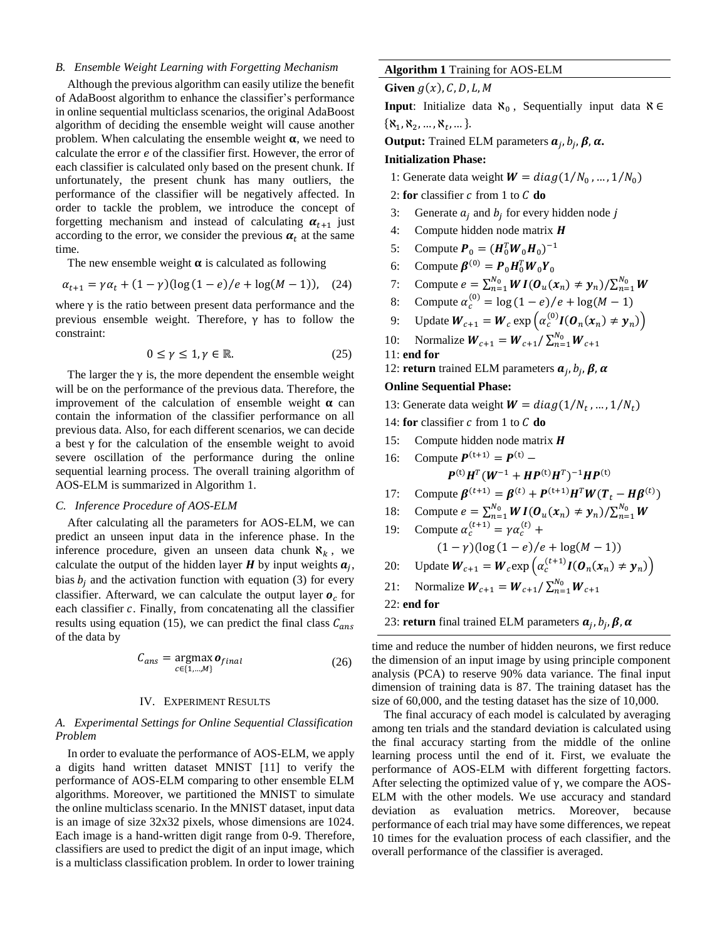## *B. Ensemble Weight Learning with Forgetting Mechanism*

Although the previous algorithm can easily utilize the benefit of AdaBoost algorithm to enhance the classifier's performance in online sequential multiclass scenarios, the original AdaBoost algorithm of deciding the ensemble weight will cause another problem. When calculating the ensemble weight  $\alpha$ , we need to calculate the error  $e$  of the classifier first. However, the error of each classifier is calculated only based on the present chunk. If unfortunately, the present chunk has many outliers, the performance of the classifier will be negatively affected. In order to tackle the problem, we introduce the concept of forgetting mechanism and instead of calculating  $\alpha_{t+1}$  just according to the error, we consider the previous  $\alpha_t$  at the same time.

The new ensemble weight  $\alpha$  is calculated as following

$$
\alpha_{t+1} = \gamma \alpha_t + (1 - \gamma)(\log(1 - e)/e + \log(M - 1)), \quad (24)
$$

where  $\gamma$  is the ratio between present data performance and the previous ensemble weight. Therefore, γ has to follow the constraint:

$$
0 \le \gamma \le 1, \gamma \in \mathbb{R}.\tag{25}
$$

The larger the  $\gamma$  is, the more dependent the ensemble weight will be on the performance of the previous data. Therefore, the improvement of the calculation of ensemble weight  $\alpha$  can contain the information of the classifier performance on all previous data. Also, for each different scenarios, we can decide a best  $\gamma$  for the calculation of the ensemble weight to avoid severe oscillation of the performance during the online sequential learning process. The overall training algorithm of AOS-ELM is summarized in Algorithm 1.

### *C. Inference Procedure of AOS-ELM*

After calculating all the parameters for AOS-ELM, we can predict an unseen input data in the inference phase. In the inference procedure, given an unseen data chunk  $\aleph_k$ , we calculate the output of the hidden layer  $H$  by input weights  $a_j$ , bias  $b_i$  and the activation function with equation (3) for every classifier. Afterward, we can calculate the output layer  $\boldsymbol{o}_c$  for each classifier  $c$ . Finally, from concatenating all the classifier results using equation (15), we can predict the final class  $C_{ans}$ of the data by

$$
C_{ans} = \underset{c \in \{1, \ldots, M\}}{\operatorname{argmax}} \mathbf{o}_{final} \tag{26}
$$

## IV. EXPERIMENT RESULTS

# *A. Experimental Settings for Online Sequential Classification Problem*

In order to evaluate the performance of AOS-ELM, we apply a digits hand written dataset MNIST [11] to verify the performance of AOS-ELM comparing to other ensemble ELM algorithms. Moreover, we partitioned the MNIST to simulate the online multiclass scenario. In the MNIST dataset, input data is an image of size 32x32 pixels, whose dimensions are 1024. Each image is a hand-written digit range from 0-9. Therefore, classifiers are used to predict the digit of an input image, which is a multiclass classification problem. In order to lower training

## **Algorithm 1** Training for AOS-ELM

**Given**  $g(x)$ , C, D, L, M

**Input**: Initialize data  $\aleph_0$ , Sequentially input data  $\aleph \in$  $\{\aleph_1, \aleph_2, ..., \aleph_t, ...\}.$ 

**Output:** Trained ELM parameters  $a_j$ ,  $b_j$ ,  $\beta$ ,  $\alpha$ .

#### **Initialization Phase:**

1: Generate data weight  $W = diag(1/N_0, ..., 1/N_0)$ 

2: **for** classifier  $c$  from 1 to  $C$  **do** 

- 3: Generate  $a_j$  and  $b_j$  for every hidden node j
- 4: Compute hidden node matrix  $H$
- 5: Compute  $P_0 = (H_0^T W_0 H_0)^{-1}$
- 6: Compute  $\boldsymbol{\beta}^{(0)} = \boldsymbol{P}_0 \boldsymbol{H}_0^T \boldsymbol{W}_0 \boldsymbol{Y}_0$
- 7: Compute  $e = \sum_{n=1}^{N_0} W I(\mathbf{0}_u(\mathbf{x}_n) \neq \mathbf{y}_n) / \sum_{n=1}^{N_0} W$
- 8: Compute  $\alpha_c^{(0)} = \log(1-e)/e + \log(M-1)$
- 9: Update  $W_{c+1} = W_c \exp\left(\alpha_c^{(0)} I(\mathbf{0}_n(\mathbf{x}_n) \neq \mathbf{y}_n)\right)$
- 10: Normalize  $W_{c+1} = W_{c+1}/\sum_{n=1}^{N_0} W_{c+1}$
- 11: **end for**

12: **return** trained ELM parameters  $a_j$ ,  $b_j$ ,  $\beta$ ,  $\alpha$ 

## **Online Sequential Phase:**

13: Generate data weight  $W = diag(1/N_t, ..., 1/N_t)$ 

- 14: **for** classifier  $c$  from 1 to  $C$  **do**
- 15: Compute hidden node matrix  $H$
- 16: Compute  $P^{(t+1)} = P^{(t)} -$

$$
\boldsymbol{P}^{(\mathrm{t})}\boldsymbol{H}^T(\boldsymbol{W}^{-1}+\boldsymbol{H}\boldsymbol{P}^{(\mathrm{t})}\boldsymbol{H}^T)^{-1}\boldsymbol{H}\boldsymbol{P}^{(\mathrm{t})}
$$

- 17: Compute  $\beta^{(t+1)} = \beta^{(t)} + P^{(t+1)}H^{T}W(T_t H\beta^{(t)})$
- 18: Compute  $e = \sum_{n=1}^{N_0} W I(O_u(x_n) \neq y_n) / \sum_{n=1}^{N_0} W$
- 19: Compute  $\alpha_c^{(t+1)} = \gamma \alpha_c^{(t)} +$  $(1 - \gamma)(\log (1 - e)/e + \log(M - 1))$
- 20: Update  $W_{c+1} = W_c \exp\left(\alpha_c^{(t+1)} I(\boldsymbol{0}_n(\boldsymbol{x}_n) \neq \boldsymbol{y}_n)\right)$
- 21: Normalize  $W_{c+1} = W_{c+1}/\sum_{n=1}^{N_0} W_{c+1}$

22: **end for**

23: **return** final trained ELM parameters  $a_j$ ,  $b_j$ ,  $\beta$ ,  $\alpha$ 

time and reduce the number of hidden neurons, we first reduce the dimension of an input image by using principle component analysis (PCA) to reserve 90% data variance. The final input dimension of training data is 87. The training dataset has the size of 60,000, and the testing dataset has the size of 10,000.

The final accuracy of each model is calculated by averaging among ten trials and the standard deviation is calculated using the final accuracy starting from the middle of the online learning process until the end of it. First, we evaluate the performance of AOS-ELM with different forgetting factors. After selecting the optimized value of  $\gamma$ , we compare the AOS-ELM with the other models. We use accuracy and standard deviation as evaluation metrics. Moreover, because performance of each trial may have some differences, we repeat 10 times for the evaluation process of each classifier, and the overall performance of the classifier is averaged.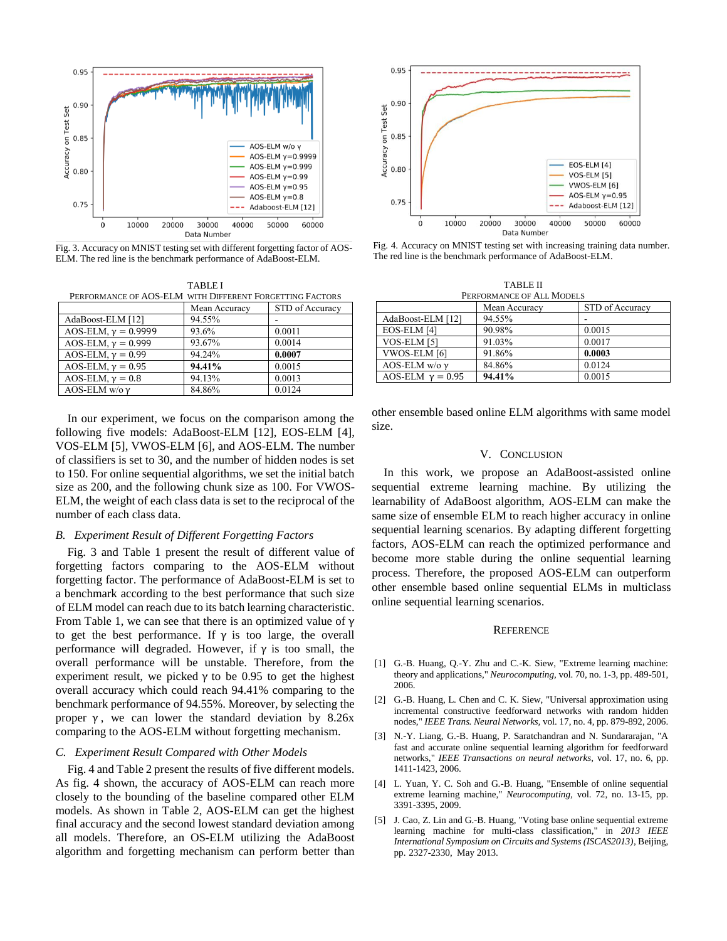

Fig. 3. Accuracy on MNIST testing set with different forgetting factor of AOS-ELM. The red line is the benchmark performance of AdaBoost-ELM.

|                                                          | <b>TABLE I</b> |                 |
|----------------------------------------------------------|----------------|-----------------|
| PERFORMANCE OF AOS-ELM WITH DIFFERENT FORGETTING FACTORS |                |                 |
|                                                          | Mean Accuracy  | STD of Accuracy |
| AdaBoost-ELM [12]                                        | 94.55%         |                 |
| AOS-ELM, $v = 0.9999$                                    | 93.6%          | 0.0011          |
| AOS-ELM, $\gamma = 0.999$                                | 93.67%         | 0.0014          |
| AOS-ELM, $y = 0.99$                                      | 94.24%         | 0.0007          |
| AOS-ELM, $y = 0.95$                                      | 94.41%         | 0.0015          |
| AOS-ELM, $y = 0.8$                                       | 94.13%         | 0.0013          |
| AOS-ELM w/o $\gamma$                                     | 84.86%         | 0.0124          |

In our experiment, we focus on the comparison among the following five models: AdaBoost-ELM [12], EOS-ELM [4], VOS-ELM [5], VWOS-ELM [6], and AOS-ELM. The number of classifiers is set to 30, and the number of hidden nodes is set to 150. For online sequential algorithms, we set the initial batch size as 200, and the following chunk size as 100. For VWOS-ELM, the weight of each class data is set to the reciprocal of the number of each class data.

## *B. Experiment Result of Different Forgetting Factors*

Fig. 3 and Table 1 present the result of different value of forgetting factors comparing to the AOS-ELM without forgetting factor. The performance of AdaBoost-ELM is set to a benchmark according to the best performance that such size of ELM model can reach due to its batch learning characteristic. From Table 1, we can see that there is an optimized value of  $\gamma$ to get the best performance. If  $\gamma$  is too large, the overall performance will degraded. However, if  $\gamma$  is too small, the overall performance will be unstable. Therefore, from the experiment result, we picked  $\gamma$  to be 0.95 to get the highest overall accuracy which could reach 94.41% comparing to the benchmark performance of 94.55%. Moreover, by selecting the proper  $\gamma$ , we can lower the standard deviation by 8.26x comparing to the AOS-ELM without forgetting mechanism.

## *C. Experiment Result Compared with Other Models*

Fig. 4 and Table 2 present the results of five different models. As fig. 4 shown, the accuracy of AOS-ELM can reach more closely to the bounding of the baseline compared other ELM models. As shown in Table 2, AOS-ELM can get the highest final accuracy and the second lowest standard deviation among all models. Therefore, an OS-ELM utilizing the AdaBoost algorithm and forgetting mechanism can perform better than



Fig. 4. Accuracy on MNIST testing set with increasing training data number. The red line is the benchmark performance of AdaBoost-ELM.

TABLE II PERFORMANCE OF ALL MODELS

| Mean Accuracy | STD of Accuracy |  |
|---------------|-----------------|--|
| 94.55%        |                 |  |
| 90.98%        | 0.0015          |  |
| 91.03%        | 0.0017          |  |
| 91.86%        | 0.0003          |  |
| 84.86%        | 0.0124          |  |
| 94.41%        | 0.0015          |  |
|               |                 |  |

other ensemble based online ELM algorithms with same model size.

#### V. CONCLUSION

In this work, we propose an AdaBoost-assisted online sequential extreme learning machine. By utilizing the learnability of AdaBoost algorithm, AOS-ELM can make the same size of ensemble ELM to reach higher accuracy in online sequential learning scenarios. By adapting different forgetting factors, AOS-ELM can reach the optimized performance and become more stable during the online sequential learning process. Therefore, the proposed AOS-ELM can outperform other ensemble based online sequential ELMs in multiclass online sequential learning scenarios.

#### **REFERENCE**

- [1] G.-B. Huang, Q.-Y. Zhu and C.-K. Siew, "Extreme learning machine: theory and applications," *Neurocomputing,* vol. 70, no. 1-3, pp. 489-501, 2006.
- [2] G.-B. Huang, L. Chen and C. K. Siew, "Universal approximation using incremental constructive feedforward networks with random hidden nodes," *IEEE Trans. Neural Networks,* vol. 17, no. 4, pp. 879-892, 2006.
- [3] N.-Y. Liang, G.-B. Huang, P. Saratchandran and N. Sundararajan, "A fast and accurate online sequential learning algorithm for feedforward networks," *IEEE Transactions on neural networks,* vol. 17, no. 6, pp. 1411-1423, 2006.
- [4] L. Yuan, Y. C. Soh and G.-B. Huang, "Ensemble of online sequential extreme learning machine," *Neurocomputing,* vol. 72, no. 13-15, pp. 3391-3395, 2009.
- [5] J. Cao, Z. Lin and G.-B. Huang, "Voting base online sequential extreme learning machine for multi-class classification," in *2013 IEEE International Symposium on Circuits and Systems (ISCAS2013)*, Beijing, pp. 2327-2330, May 2013.